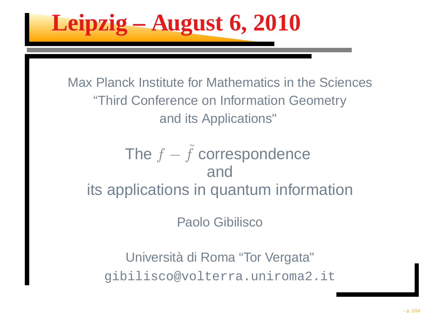**Leipzig – August 6, 2010**

Max Planck Institute for Mathematics in the Sciences"Third Conference on Information Geometryand its Applications"

#### The  $f$  $\tilde{f}$  correspondence andits applications in quantum information

Paolo Gibilisco

Università di Roma "Tor Vergata"gibilisco@volterra.uniroma2.it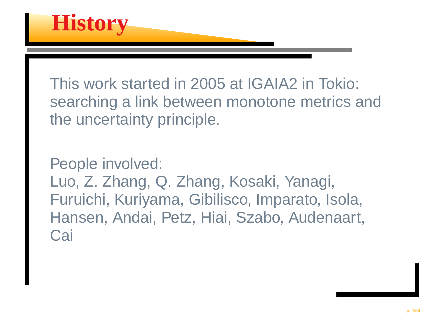

This work started in 2005 at IGAIA2 in Tokio: searching <sup>a</sup> link between monotone metrics andthe uncertainty principle.

People involved:

Luo, Z. Zhang, Q. Zhang, Kosaki, Yanagi, Furuichi, Kuriyama, Gibilisco, Imparato, Isola, Hansen, Andai, Petz, Hiai, Szabo, Audenaart, **Cai**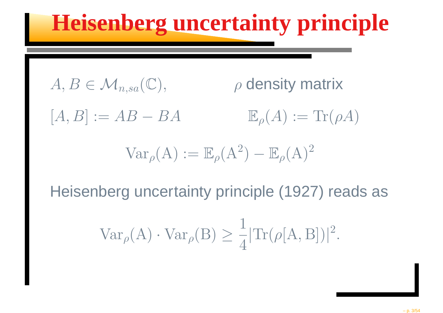### **Heisenberg uncertainty principle**

$$
A, B \in \mathcal{M}_{n,sa}(\mathbb{C}), \qquad \qquad \rho \text{ density matrix}
$$

 $[A, B] := AB$  $-BA$  $\mathbb E$  $_{\rho}(A) := \text{Tr}(\rho A)$ 

$$
\text{Var}_{\rho}(\mathbf{A}) := \mathbb{E}_{\rho}(\mathbf{A}^2) - \mathbb{E}_{\rho}(\mathbf{A})^2
$$

Heisenberg uncertainty principle (1927) reads as

$$
\text{Var}_{\rho}(\mathbf{A}) \cdot \text{Var}_{\rho}(\mathbf{B}) \ge \frac{1}{4} |\text{Tr}(\rho[\mathbf{A}, \mathbf{B}])|^2.
$$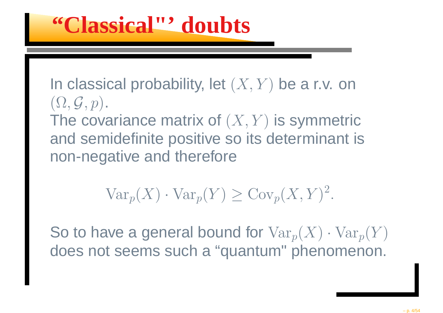In classical probability, let  $(X,Y)$  be a r.v. on  $(\Omega, \mathcal{G}, p).$ The covariance matrix of  $(X, Y)$  is symmetric and semidefinite positive so its determinant isnon-negative and therefore

$$
\text{Var}_p(X) \cdot \text{Var}_p(Y) \geq \text{Cov}_p(X, Y)^2.
$$

So to have a general bound for  $\text{Var}_p(X)\cdot\text{Var}_p(Y)$ does not seems such <sup>a</sup> "quantum" phenomenon.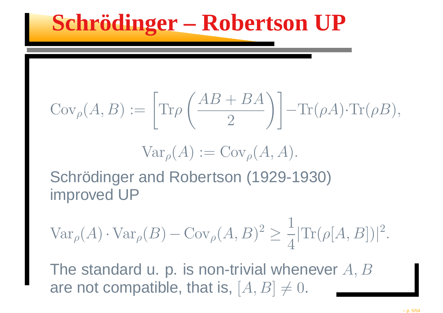### **Schrödinger – Robertson UP**

$$
Cov_{\rho}(A, B) := \left[ Tr \rho \left( \frac{AB + BA}{2} \right) \right] - Tr(\rho A) \cdot Tr(\rho B),
$$

$$
\text{Var}_{\rho}(A) := \text{Cov}_{\rho}(A, A).
$$

Schrödinger and Robertson (1929-1930)improved UP

$$
\operatorname{Var}_{\rho}(A) \cdot \operatorname{Var}_{\rho}(B) - \operatorname{Cov}_{\rho}(A, B)^2 \ge \frac{1}{4} |\operatorname{Tr}(\rho[A, B])|^2.
$$

The standard u. p. is non-trivial whenever  $A, B$ are not compatible, that is,  $[A, B] \neq 0$ .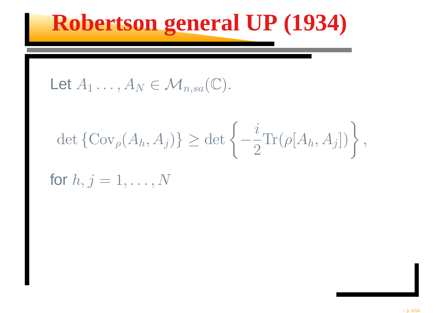### **Robertson general UP (1934)**

Let 
$$
A_1 \ldots, A_N \in \mathcal{M}_{n,sa}(\mathbb{C})
$$
.

$$
\det\left\{\mathrm{Cov}_{\rho}(A_h, A_j)\right\} \geq \det\left\{-\frac{i}{2}\mathrm{Tr}(\rho[A_h, A_j])\right\},\,
$$

for  $h, j = 1, \ldots, N$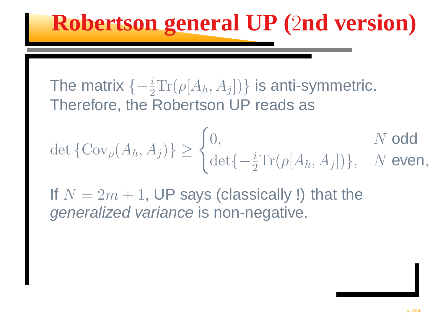### **Robertson general UP (**<sup>2</sup>**nd version)**

The matrix  $\{-{i\over2}$  Therefore, the Robertson UP reads as $\tfrac{\imath}{2} \text{Tr}(\rho[A_h,A_j])\}$  is anti-symmetric.

$$
\det\{\text{Cov}_{\rho}(A_h, A_j)\} \ge \begin{cases} 0, & N \text{ odd} \\ \det\{-\frac{i}{2}\text{Tr}(\rho[A_h, A_j])\}, & N \text{ ever} \end{cases}
$$

If  $N=2m$  $m + 1$ , UP says (classically !) that the  $\frac{1}{2}$ generalized variance is non-negative.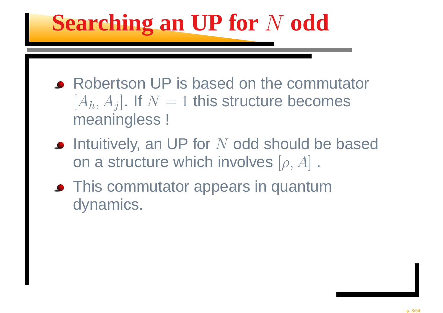# **Searching an UP** for N odd

- Robertson UP is based on the commutator $[A_h,A_j]$ . If  $N=1$  this structure becomes<br>meaninglass  $\mathsf I$ \_\_\_\_\_\_\_ meaningless !
- Intuitively, an UP for  $N$  odd should be based<br>on a structure which involves  $[$  a  $A]$ on a structure which involves  $[\rho,A]$  .
- **This commutator appears in quantum** dynamics.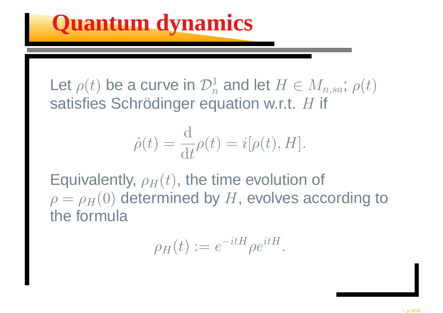Let  $\rho(t)$  be a curve in  $\mathcal{D}^1_n$ satisfies Schrödinger equation w.r.t.  $H$  if  $\, n \,$  $\frac{1}{n}$  and let  $H\in M_{n,sa};\, \rho(t)$ 

$$
\dot{\rho}(t) = \frac{\mathrm{d}}{\mathrm{d}t} \rho(t) = i[\rho(t), H].
$$

Equivalently,  $\rho_H(t),$  the time evolution of  $\sim$  $\rho=\rho_H(0)$  determined by  $H,$  evolves according to the formula

$$
\rho_H(t) := e^{-itH} \rho e^{itH}.
$$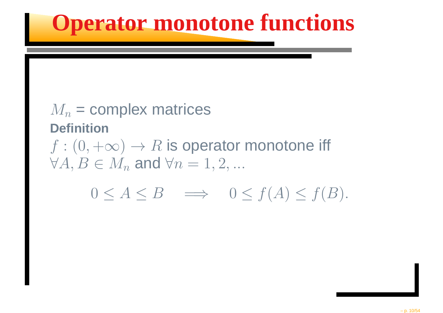### **Operator monotone functions**

#### $M_n$  = complex matrices **Definition** $f : (0, +$  $\leftarrow$  $\infty) \rightarrow R$  is operator monotone iff  $\forall A, B \in M_n$  and  $\forall n = 1, 2, ...$  $0\leq A\leq B\quad\Longrightarrow\quad 0\leq f(A)\leq f(B).$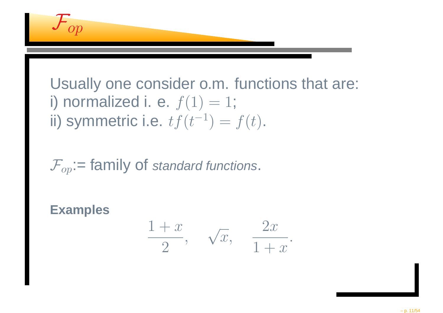$$
\mathcal{F}_{op}
$$

Usually one consider o.m. functions that are: i) normalized i. e.  $f(1) = 1$ ; ii) symmetric i.e.  $tf(t^{-1}) = f(t)$ .

 $\mathcal{F}_{\text{op}}$ : = family of standard functions.

**Examples**

$$
\frac{1+x}{2}, \quad \sqrt{x}, \quad \frac{2x}{1+x}.
$$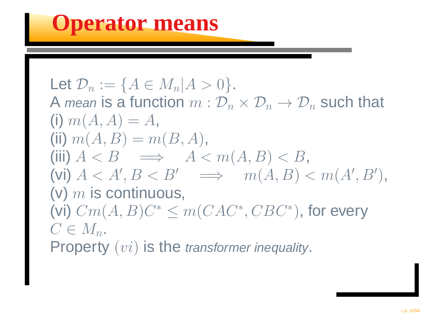Let  $\mathcal{D}_n$  $\sim$   $\sim$   $\sim$   $\sim$   $\sim$   $\sim$  $n :=$  ${A \in M_n | A > 0}.$ A *mean* is a function  $m:2$  $m: \mathcal{D}$  $\, n \,$  $_n \times \mathcal{D}$  $\, n \,$  $n \to \mathcal{D}$  $\, n \,$  $_n$  such that (i)  $m$  $\gamma$   $\gamma$   $\gamma$   $\gamma$   $\gamma$   $\gamma$   $\gamma$  $(A, A) = A,$ (ii)  $m$   $(A, B) =$  $\,m$  $(B,A),$ (iii)  $A < B \implies A < m(A, B) < B$ ,<br>(vi)  $A < A' \cdot B < B' \implies m(A, B) < A' \cdot B$  (vi)  $A < A', B < B' \implies m$ . . . . . . . . . . . . . .  $(A, B) < m(A', B')$ ),(v)  $m$  $m$  is continuous,  $C_m(A,B)C^* < a$ (vi)  $Cm(A,B)C^*$  $\leq m(CAC^*, CBC^*)$  $^{\ast}),$  for every  $C\in M_n.$ Property  $(vi)$  is the transformer inequality.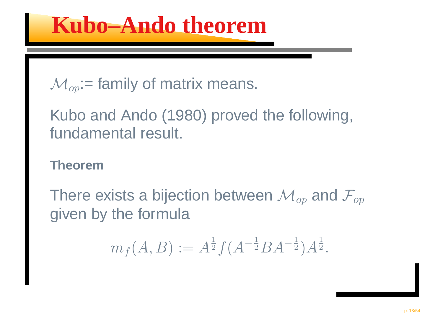$$
\mathcal{M}_{op} := \text{family of matrix means.}
$$

Kubo and Ando (1980) proved the following, fundamental result.

#### **Theorem**

There exists a bijection between  $\mathcal{M}_{op}$  and  $\mathcal{F}_{op}$ given by the formula

$$
m_f(A, B) := A^{\frac{1}{2}} f(A^{-\frac{1}{2}} B A^{-\frac{1}{2}}) A^{\frac{1}{2}}.
$$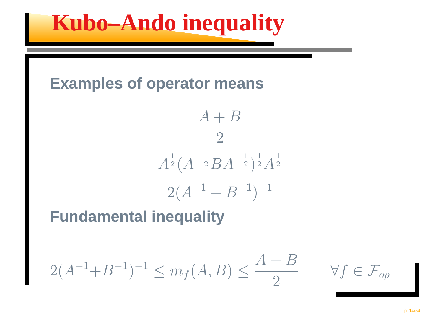

#### **Examples of operator means**

$$
\frac{A+B}{2}
$$
  

$$
A^{\frac{1}{2}}(A^{-\frac{1}{2}}BA^{-\frac{1}{2}})^{\frac{1}{2}}A^{\frac{1}{2}}
$$
  

$$
2(A^{-1} + B^{-1})^{-1}
$$

#### **Fundamental inequality**

$$
2(A^{-1} + B^{-1})^{-1} \le m_f(A, B) \le \frac{A + B}{2}
$$

 $\forall f \in \mathcal{F}_{op}$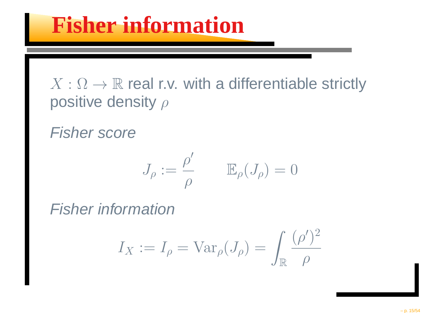#### $X:\Omega\to\mathbb{R}$  real r.v. with a differentiable strictly positive density a positive density  $\rho$

Fisher score

$$
J_{\rho}:=\frac{\rho'}{\rho}\qquad \mathbb{E}_{\rho}(J_{\rho})=0
$$

Fisher information

$$
I_X := I_\rho = \text{Var}_\rho(J_\rho) = \int_\mathbb{R} \frac{(\rho')^2}{\rho}
$$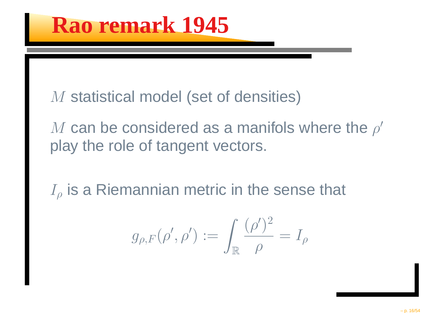M statistical model (set of densities)

 $M$  can be considered as a manifols where the  $M$  can be considered as a manifols where the ρ′ play the role of tangent vectors.

 $I_\rho$  is a Riemannian metric in the sense that

$$
g_{\rho,F}(\rho',\rho'):=\int_{\mathbb{R}}\frac{(\rho')^2}{\rho}=I_\rho
$$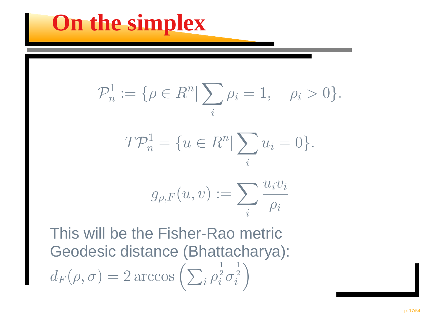### **On the simplex**

$$
\mathcal{P}_n^1 := \{ \rho \in R^n | \sum_i \rho_i = 1, \quad \rho_i > 0 \}.
$$

$$
T\mathcal{P}_n^1 = \{ u \in R^n | \sum_i u_i = 0 \}.
$$

$$
g_{\rho, F}(u, v) := \sum_i \frac{u_i v_i}{\rho_i}
$$

This will be the Fisher-Rao metric Geodesic distance (Bhattacharya):  $d\,$  $\,F$  $(\rho, \sigma) = 2 \arccos \Big($  $\sum_i$ ρ1 2 i σ1 2 $\begin{pmatrix} \frac{1}{2} \\ i \end{pmatrix}$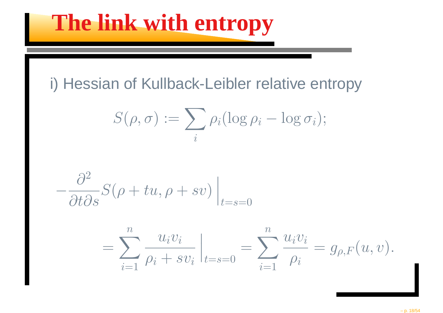### **The link with entropy**

#### i) Hessian of Kullback-Leibler relative entropy

$$
S(\rho,\sigma) := \sum_i \rho_i(\log \rho_i - \log \sigma_i);
$$

$$
-\frac{\partial^2}{\partial t \partial s}S(\rho + tu, \rho + sv)\Big|_{t=s=0}
$$

$$
= \sum_{i=1}^{n} \frac{u_i v_i}{\rho_i + s v_i} \Big|_{t=s=0} = \sum_{i=1}^{n} \frac{u_i v_i}{\rho_i} = g_{\rho, F}(u, v).
$$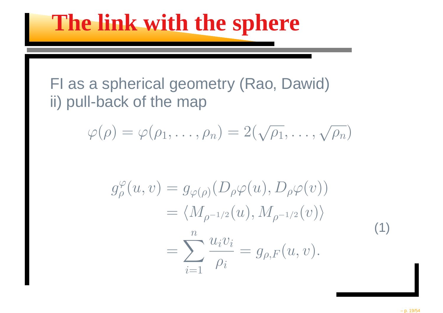### **The link with the sphere**

#### FI as <sup>a</sup> spherical geometry (Rao, Dawid)ii) pull-back of the map

$$
\varphi(\rho) = \varphi(\rho_1, \ldots, \rho_n) = 2(\sqrt{\rho_1}, \ldots, \sqrt{\rho_n})
$$

$$
g_{\rho}^{\varphi}(u,v) = g_{\varphi(\rho)}(D_{\rho}\varphi(u), D_{\rho}\varphi(v))
$$
  
= 
$$
\langle M_{\rho^{-1/2}}(u), M_{\rho^{-1/2}}(v) \rangle
$$
  
= 
$$
\sum_{i=1}^{n} \frac{u_i v_i}{\rho_i} = g_{\rho,F}(u,v).
$$
 (1)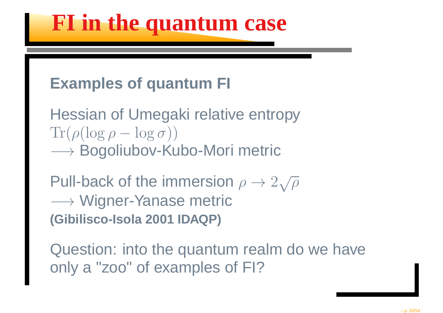### **FI in the quantum case**

#### **Examples of quantum FI**

Hessian of Umegaki relative entropy $\text{Tr}(\rho(\log \rho -$  −→ Bogoliubov-Kubo-Mori metric  $-\log \sigma)$ )

Pull-back of the immersion  $\rho\to2\sqrt{\rho}$ → Wigner-Yanase metric<br>Gibilisco-Isola 2001 IDAOP) **(Gibilisco-Isola 2001 IDAQP)**

Question: into the quantum realm do we haveonly <sup>a</sup> "zoo" of examples of FI?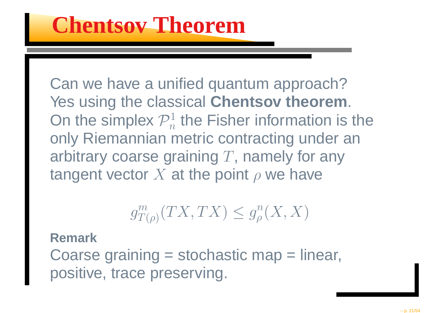Can we have <sup>a</sup> unified quantum approach? Yes using the classical **Chentsov theorem**. On the simplex  $\mathcal{P}^1_n$  only Riemannian metric contracting under an $\, n \,$  $\mathcal{F}_n^1$  the Fisher information is the arbitrary coarse graining  $T,$  namely for any tangent vector  $X$  at the point ρ $\rho$  we have

$$
g_{T(\rho)}^m(TX,TX)\leq g_\rho^n(X,X)
$$

#### **Remark**

 Coarse graining <sup>=</sup> stochastic map <sup>=</sup> linear, positive, trace preserving.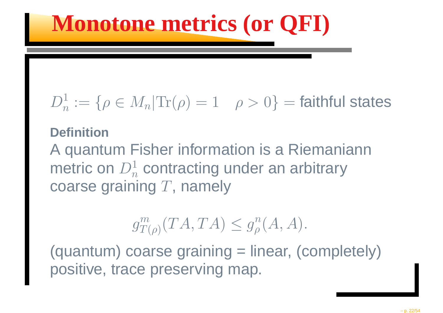## **Monotone metrics (or QFI)**

#### $D^1$  $\, n \,$  $\bar{n}:=$  $\{\rho \in M_n | \text{Tr}(\rho) = 1 \quad \rho > 0\}$ == faithful states

#### **Definition**

 A quantum Fisher information is <sup>a</sup> Riemaniannmetric on  $D_n^1$ **Nrc**  $\, n \,$  $\frac{1}{n}$  contracting under an arbitrary coarse graining  $T,$  namely

#### $g\$  $\,m$  $_{T(\rho)}^{m}(TA,TA)\leq g$  $\, n \,$  $_{\rho}^{n}(A,A).$

(quantum) coarse graining <sup>=</sup> linear, (completely)positive, trace preserving map.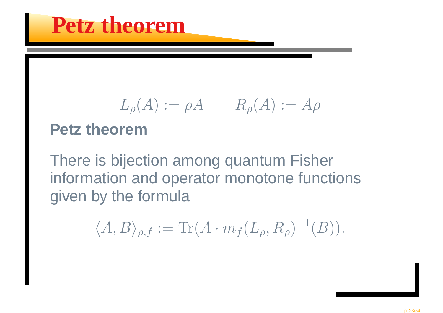$$
L_{\rho}(A) := \rho A \qquad R_{\rho}(A) := A\rho
$$

#### **Petz theorem**

There is bijection among quantum Fisher information and operator monotone functionsgiven by the formula

$$
\langle A, B \rangle_{\rho, f} := \text{Tr}(A \cdot m_f(L_\rho, R_\rho)^{-1}(B)).
$$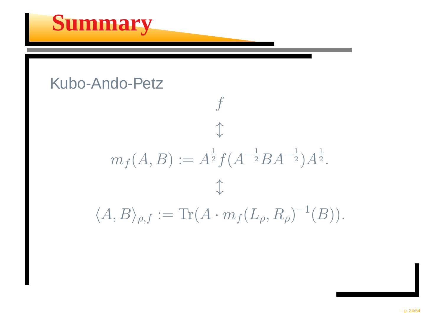### **Summary**

#### Kubo-Ando-Petz

$$
f
$$
  
\n
$$
\uparrow
$$
  
\n
$$
m_f(A, B) := A^{\frac{1}{2}} f(A^{-\frac{1}{2}} B A^{-\frac{1}{2}}) A^{\frac{1}{2}}.
$$
  
\n
$$
\updownarrow
$$
  
\n
$$
\langle A, B \rangle_{\rho, f} := \text{Tr}(A \cdot m_f(L_\rho, R_\rho)^{-1}(B)).
$$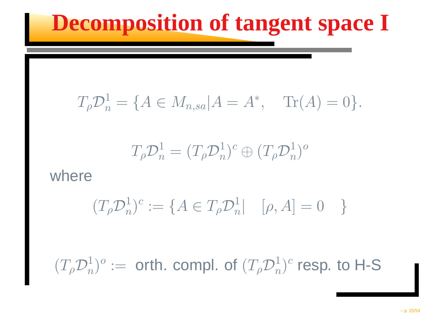### **Decomposition of tangent space I**

$$
T_{\rho}\mathcal{D}_n^1 = \{A \in M_{n,sa}| A = A^*, \quad \text{Tr}(A) = 0\}.
$$

$$
T_{\rho}\mathcal{D}_n^1=(T_{\rho}\mathcal{D}_n^1)^c\oplus (T_{\rho}\mathcal{D}_n^1)^o
$$

#### where

$$
(T_{\rho}\mathcal{D}_n^1)^c := \{ A \in T_{\rho}\mathcal{D}_n^1 | \quad [\rho, A] = 0 \quad \}
$$

 $(T_{\rho}\mathcal{D}_n^1$  $\binom{1}{n}$ O  $\dot{=}$  $=$  orth. compl. of  $(T_{\rho}\mathcal{D}_{n}^{1}% )(\theta)=(T_{\rho}\mathcal{D}_{n}^{1}(\theta))$  $_n^1)^c$  resp. to H-S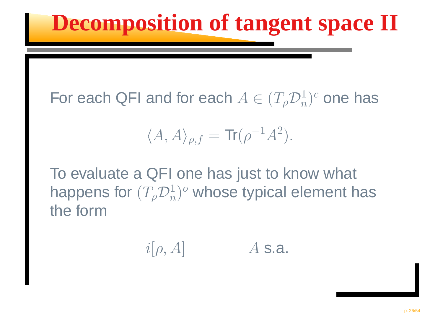## **Decomposition of tangent space II**

For each QFI and for each  $A\in(T_{\rho}\mathcal{D}_{n}^{1}$  $_n^1)^c$  one has

$$
\langle A, A \rangle_{\rho, f} = \text{Tr}(\rho^{-1} A^2).
$$

To evaluate <sup>a</sup> QFI one has just to know what happens for  $(T_{\rho}\mathcal{D}_{n}^{1}% )(\theta)$  $_n^1)^o$  whose typical element has the form

$$
i[\rho,A] \qquad \qquad A \text{ s.a.}
$$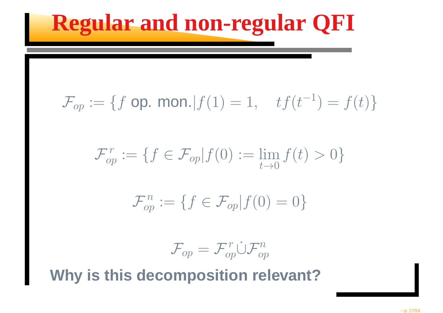## **Regular and non-regular QFI**

$$
\mathcal{F}_{op} := \{ f \text{ op. mon.} | f(1) = 1, \quad tf(t^{-1}) = f(t) \}
$$

$$
\mathcal{F}_{op}^r := \{ f \in \mathcal{F}_{op} | f(0) := \lim_{t \to 0} f(t) > 0 \}
$$

$$
\mathcal{F}_{op}^n := \{ f \in \mathcal{F}_{op} | f(0) = 0 \}
$$

$$
\mathcal{F}_{op}=\mathcal{F}^r_{op}\dot{\cup}\mathcal{F}^n_{op}
$$

**Why is this decomposition relevant?**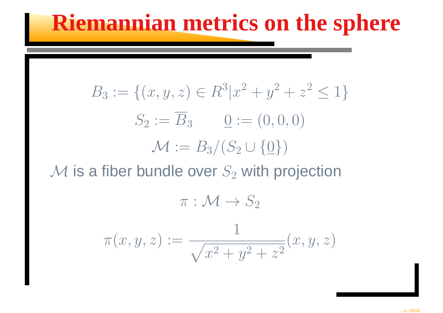### **Riemannian metrics on the sphere**

$$
B_3 := \{(x, y, z) \in R^3 | x^2 + y^2 + z^2 \le 1 \}
$$
  
\n
$$
S_2 := \overline{B}_3 \qquad 0 := (0, 0, 0)
$$
  
\n
$$
\mathcal{M} := B_3 / (S_2 \cup \{0\})
$$
  
\n6 **fiber bundle over** S with projection

 $\mathcal M$  is a fiber bundle over  $S_2$  $\rm _2$  with projection

$$
\pi: \mathcal{M} \to S_2
$$

$$
\pi(x, y, z) := \frac{1}{\sqrt{x^2 + y^2 + z^2}} (x, y, z)
$$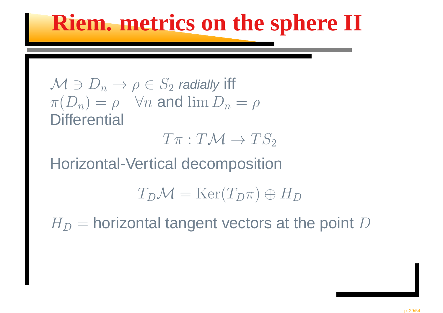### **Riem. metrics on the sphere II**

$$
M \ni D_n \to \rho \in S_2
$$
 *radially* iff  

$$
\pi(D_n) = \rho \quad \forall n \text{ and } \lim D_n = \rho
$$
 **Differential**

 $T\pi: T\mathcal{M} \rightarrow TS_2$ 2

Horizontal-Vertical decomposition

 $T_D\mathcal{M}=\mathrm{Ker}(T_D\pi)\oplus H_D$ 

 $H_D\,$ = $=$  horizontal tangent vectors at the point  $D$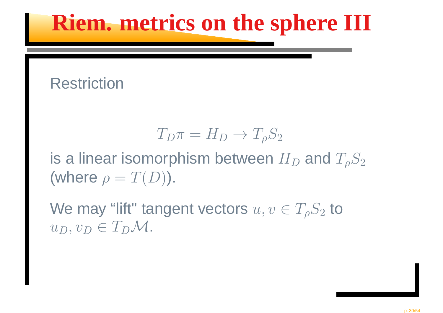### **Riem. metrics on the sphere III**

#### **Restriction**

$$
T_D \pi = H_D \to T_\rho S_2
$$

is a linear isomorphism between  $H_D$  and  $T_\rho S_2$ (where  $\rho=T(D)$ ).

We may "lift" tangent vectors  $u,v\in T_\rho S_2$  $\frac{1}{2}$  to  $u_D, v_D \in T_D \mathcal{M}.$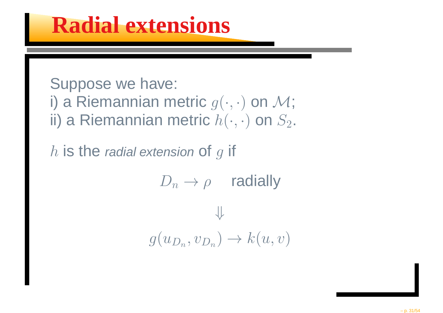#### **Radial extensions**

Suppose we have: i) a Riemannian metric  $g(\cdot,\cdot)$  on  $\mathcal M;$ ii) a Riemannian metric  $h(\cdot,\cdot)$  on  $S_2.$ 

 $h$  is the *radial extension* of  $g$  if

$$
D_n \to \rho \quad \text{radially}
$$
  

$$
\Downarrow
$$
  

$$
g(u_{D_n}, v_{D_n}) \to k(u, v)
$$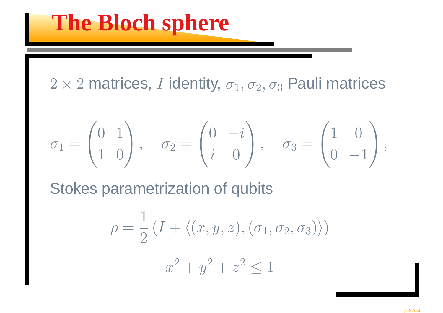$2\times 2$  matrices,  $I$  identity,  $\sigma_1, \sigma_2, \sigma_3$  $_3$  Pauli matrices

$$
\sigma_1 = \begin{pmatrix} 0 & 1 \\ 1 & 0 \end{pmatrix}, \quad \sigma_2 = \begin{pmatrix} 0 & -i \\ i & 0 \end{pmatrix}, \quad \sigma_3 = \begin{pmatrix} 1 & 0 \\ 0 & -1 \end{pmatrix},
$$

Stokes parametrization of qubits

$$
\rho = \frac{1}{2} (I + \langle (x, y, z), (\sigma_1, \sigma_2, \sigma_3) \rangle)
$$

$$
x^2 + y^2 + z^2 \le 1
$$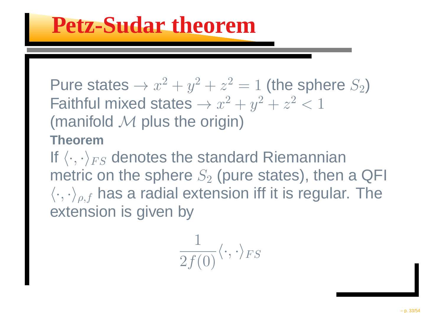Pure states  $\rightarrow x$ ヽ∔⌒・ 2 $^2+y$ 2 $z^2+z$ Faithful mixed states  $\rightarrow x$ 2 $\bar{ }$  = 1 (the sphere  $S_2$ )  $\sim$ 2 $^2+y$ 2 $z^2+z$ 2 $^2 < 1$ (manifold  $\mathcal M$  plus the origin)<br>Theorem

#### **Theorem**

If  $\langle \cdot, \cdot \rangle_{FS}$  denotes the standard Riemannian metric on the sphere  $S_2$  $\langle\cdot,\cdot\rangle_{\rho,f}$  has a radial extension iff it is regular. The  $\gamma_2$  (pure states), then a QFI extension is given by

$$
\frac{1}{2f(0)}\langle \cdot,\cdot\rangle_{FS}
$$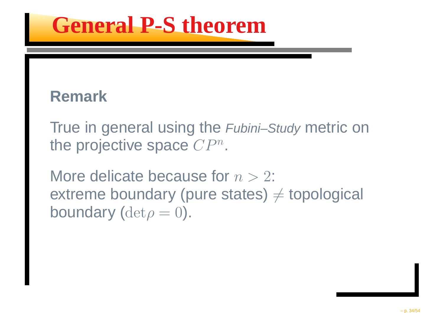### **General P-S theorem**

#### **Remark**

True in general using the Fubini–Study metric on the projective space  ${\mathbb C}P^n$ .

More delicate because for  $n > 2$ : extreme boundary (pure states)  $\neq$  topological<br>boundary (determal) boundary ( ${\rm det}\rho$  $\rho = 0$ ).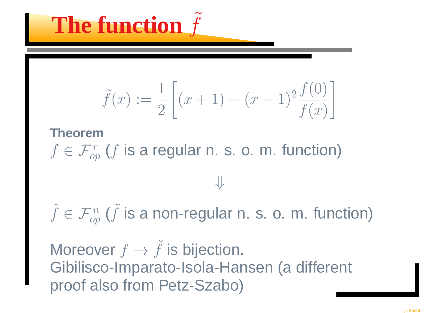

$$
\tilde{f}(x) := \frac{1}{2} \left[ (x+1) - (x-1)^2 \frac{f(0)}{f(x)} \right]
$$

#### **Theorem** $f \in \mathcal{F}_{op}^r$  $C^r_{op}$  ( $f$  is a regular n. s. o. m. function)

 $\tilde{f}\in\mathcal{F}_{op}^n$  $C^n_{op}$  ( $\tilde{f}$  is a non-regular n. s. o. m. function)

⇓

Moreover  $f\rightarrow$  $\tilde{f}$  is bijection. Gibilisco-Imparato-Isola-Hansen (a different proof also from Petz-Szabo)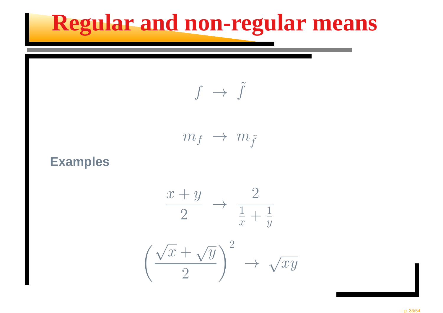### **Regular and non-regular means**

$$
f \rightarrow f
$$

˜

$$
m_f~\rightarrow~m_{\tilde{f}}
$$

**Examples**

$$
\frac{x+y}{2} \to \frac{2}{\frac{1}{x} + \frac{1}{y}}
$$

$$
\left(\frac{\sqrt{x} + \sqrt{y}}{2}\right)^2 \to \sqrt{xy}
$$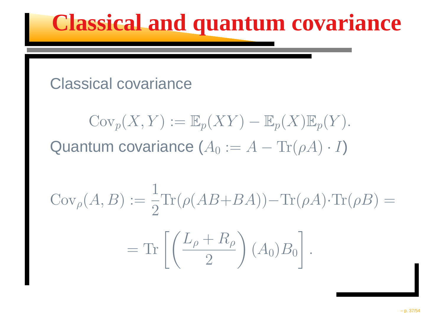### **Classical and quantum covariance**

#### Classical covariance

$$
Cov_p(X, Y) := \mathbb{E}_p(XY) - \mathbb{E}_p(X)\mathbb{E}_p(Y).
$$
  
Quantum covariance  $(A_0 := A - \text{Tr}(\rho A) \cdot I)$ 

$$
Cov_{\rho}(A, B) := \frac{1}{2} \text{Tr}(\rho (AB + BA)) - \text{Tr}(\rho A) \cdot \text{Tr}(\rho B) =
$$

$$
= \text{Tr}\left[\left(\frac{L_{\rho} + R_{\rho}}{2}\right) (A_0) B_0\right].
$$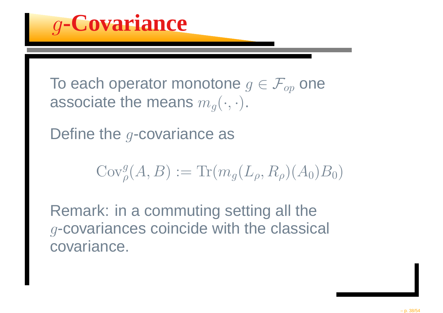g**-Covariance**

To each operator monotone  $g \in \mathcal{F}_{op}$  one<br>easesiste the masses  $\mu$ associate the means  $m_g(\cdot,\cdot)$ .

Define the  $g$ -covariance as

$$
\mathrm{Cov}_\rho^g(A,B) := \mathrm{Tr}(m_g(L_\rho,R_\rho)(A_0)B_0)
$$

Remark: in <sup>a</sup> commuting setting all the $g$ -covariances coincide with the classical covariance.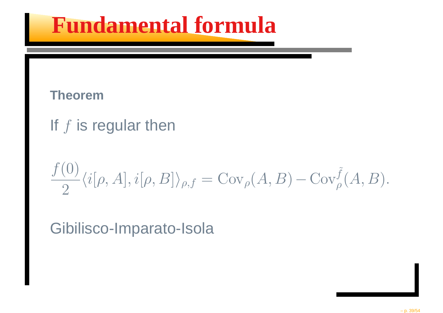### **Fundamental formula**

#### **Theorem**

#### If  $f$  is regular then

$$
\frac{f(0)}{2}\langle i[\rho,A],i[\rho,B]\rangle_{\rho,f}=\text{Cov}_{\rho}(A,B)-\text{Cov}_{\rho}^{\tilde{f}}(A,B).
$$

Gibilisco-Imparato-Isola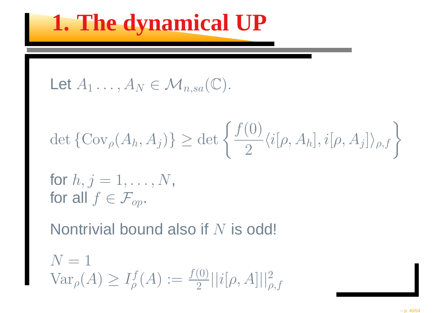### **1. The dynamical UP**

Let 
$$
A_1 \ldots, A_N \in \mathcal{M}_{n,sa}(\mathbb{C})
$$
.

$$
\det\{\mathrm{Cov}_{\rho}(A_h, A_j)\} \ge \det\left\{\frac{f(0)}{2}\langle i[\rho, A_h], i[\rho, A_j]\rangle_{\rho,f}\right\}
$$

for  $h, j = 1, \ldots, N,$ for all  $f \in \mathcal{F}_{op}$ .

Nontrivial bound also if  $N$  is odd!

$$
N = 1
$$
  
 
$$
Var_{\rho}(A) \ge I_{\rho}^{f}(A) := \frac{f(0)}{2} ||i[\rho, A]||_{\rho, f}^{2}
$$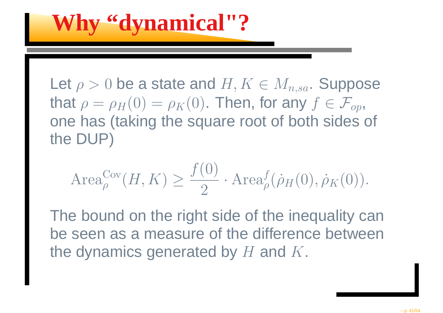**Why "dynamical"?**

Let  $\rho >0$  be a state and  $H, K\in M_{n,sa}$ . Suppose that  $\rho=\rho_H(0)=\rho_K(0)$ . Then, one has (taking the square root of both sides of  $H(0) =$  $\rho_K(0)$ . Then, for any  $f \in \mathcal{F}_{op},$ the DUP)

$$
\operatorname{Area}_{\rho}^{\text{Cov}}(H, K) \ge \frac{f(0)}{2} \cdot \operatorname{Area}_{\rho}^f(\rho_H(0), \rho_K(0)).
$$

The bound on the right side of the inequality can be seen as <sup>a</sup> measure of the difference betweenthe dynamics generated by  $H$  and  $K$ .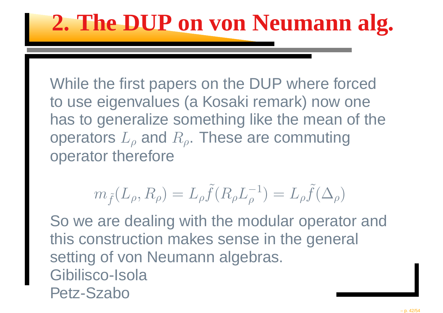### **2. The DUP on von Neumann alg.**

While the first papers on the DUP where forced to use eigenvalues (a Kosaki remark) now one has to generalize something like the mean of theoperators  $L$  $+h$  $\sim$  rotars  $_{\rho}$  and  $R_{\rho}.$  These are commuting operator therefore

$$
m_{\tilde{f}}(L_{\rho}, R_{\rho}) = L_{\rho} \tilde{f}(R_{\rho} L_{\rho}^{-1}) = L_{\rho} \tilde{f}(\Delta_{\rho})
$$

So we are dealing with the modular operator andthis construction makes sense in the general setting of von Neumann algebras. Gibilisco-IsolaPetz-Szabo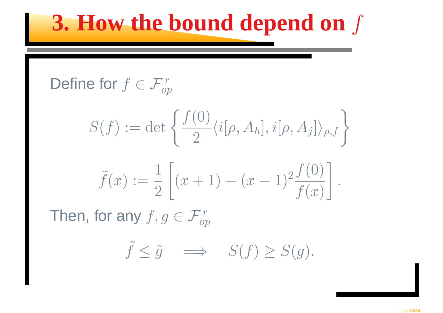### **3. How the bound depend on**f

Define for 
$$
f \in \mathcal{F}_{op}^r
$$

$$
S(f) := \det \left\{ \frac{f(0)}{2} \langle i[\rho, A_h], i[\rho, A_j] \rangle_{\rho, f} \right\}
$$

$$
\tilde{f}(x) := \frac{1}{2} \left[ (x+1) - (x-1)^2 \frac{f(0)}{f(x)} \right].
$$

Then, for any  $f,g\in\mathcal{F}_{op}^r$ op

$$
\tilde{f} \le \tilde{g} \quad \Longrightarrow \quad S(f) \ge S(g).
$$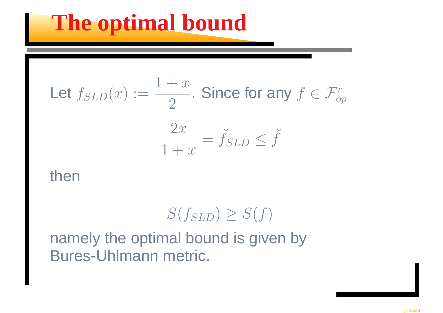### **The optimal bound**

Let 
$$
f_{SLD}(x) := \frac{1+x}{2}
$$
. Since for any  $f \in \mathcal{F}_{op}^r$   

$$
\frac{2x}{1+x} = \tilde{f}_{SLD} \leq \tilde{f}
$$

#### then

$$
S(f_{SLD}) \geq S(f)
$$

 namely the optimal bound is given byBures-Uhlmann metric.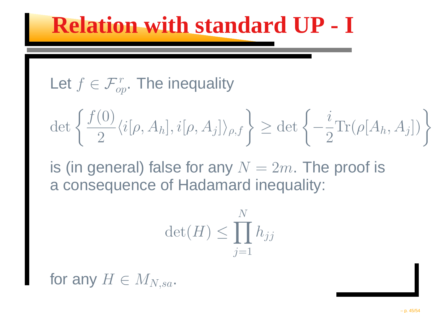### **Relation with standard UP - I**

Let 
$$
f \in \mathcal{F}_{op}^r
$$
. The inequality

$$
\det\left\{\frac{f(0)}{2}\langle i[\rho,A_h],i[\rho,A_j]\rangle_{\rho,f}\right\} \geq \det\left\{-\frac{i}{2}\text{Tr}(\rho[A_h,A_j])\right\}
$$

is (in general) false for any  $N=2m$ . The proof is a consequence of Hadamard inequality: <sup>a</sup> consequence of Hadamard inequality:

$$
\det(H) \le \prod_{j=1}^N h_{jj}
$$

for any  $H\in M_{N,sa}.$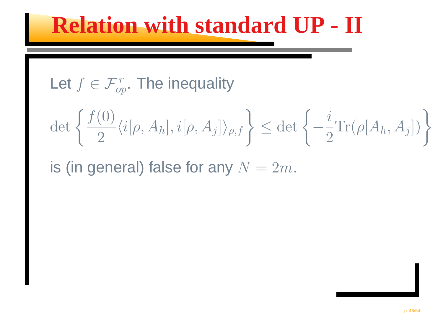### **Relation with standard UP - II**

Let 
$$
f \in \mathcal{F}_{op}^r
$$
. The inequality

$$
\det\left\{\frac{f(0)}{2}\langle i[\rho,A_h],i[\rho,A_j]\rangle_{\rho,f}\right\} \leq \det\left\{-\frac{i}{2}\text{Tr}(\rho[A_h,A_j])\right\}
$$

is (in general) false for any  $N=2m$ .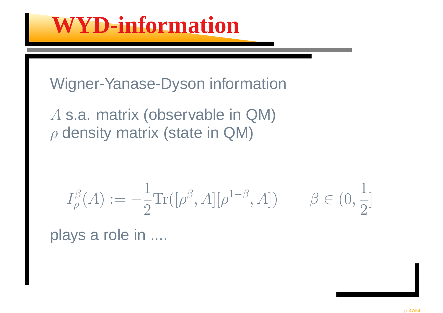Wigner-Yanase-Dyson information

A s.a. matrix (observable in QM) ρ $\rho$  density matrix (state in QM)

$$
I_{\rho}^{\beta}(A) := -\frac{1}{2} \text{Tr}([\rho^{\beta}, A][\rho^{1-\beta}, A]) \qquad \beta \in (0, \frac{1}{2}]
$$

plays <sup>a</sup> role in ....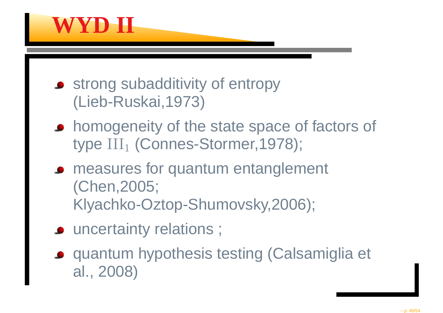

- **strong subadditivity of entropy** (Lieb-Ruskai,1973)
- **homogeneity of the state space of factors of** type  $\mathrm{III}_1$  (Connes-Stormer,1978);
- **Paramers for quantum entanglement** (Chen,2005;Klyachko-Oztop-Shumovsky,2006);
- uncertainty relations ;
- quantum hypothesis testing (Calsamiglia et al., 2008)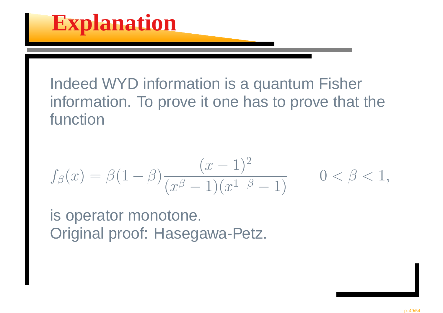Indeed WYD information is <sup>a</sup> quantum Fisherinformation. To prove it one has to prove that thefunction

$$
f_{\beta}(x) = \beta(1-\beta)\frac{(x-1)^2}{(x^{\beta}-1)(x^{1-\beta}-1)} \qquad 0 < \beta < 1,
$$

is operator monotone. Original proof: Hasegawa-Petz.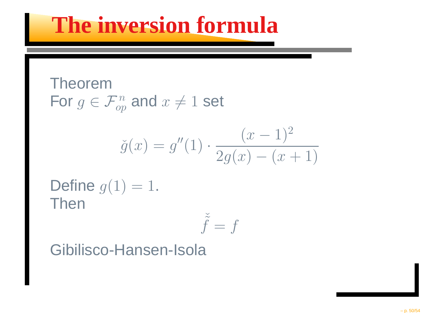### **The inversion formula**

TheoremFor  $g\in {\mathcal{F}}_{op}^n$  $\mathop{c p} \limits^{\cdot n}$  and  $\mathcal{X}% _{T}=\mathbb{R}^{2}\times\mathbb{R}^{2}$  $\neq 1$  set

$$
\check{g}(x) = g''(1) \cdot \frac{(x-1)^2}{2g(x) - (x+1)}
$$

Define  $g(1) = 1$ . Then

$$
\check{\tilde{f}} = f
$$

Gibilisco-Hansen-Isola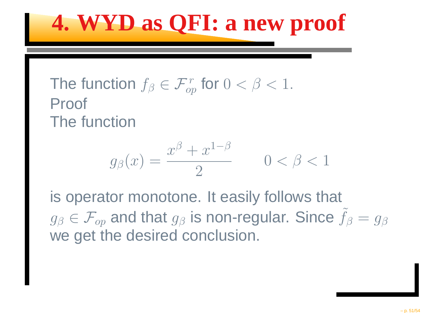### **4. WYD as QFI: <sup>a</sup> new proof**

#### The function  $f_\beta \in \mathcal{F}_{o p}^r$  $\int_{op}^r$  for  $0 < \beta < 1.$ ProofThe function

$$
g_{\beta}(x) = \frac{x^{\beta} + x^{1-\beta}}{2} \qquad 0 < \beta < 1
$$

is operator monotone. It easily follows that  $g_\beta$  we get the desired conclusion.  $\tau_{\beta} \in \mathcal{F}_{op}$  and that  $g_\beta$  is non-regular. Since  $\tilde{f}_\beta$  $= g_\beta$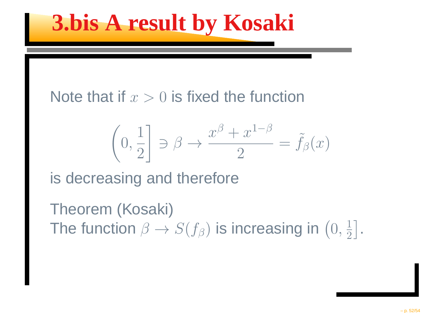### **3.bis A result by Kosaki**

Note that if  $x>0$  is fixed the function

$$
\left(0, \frac{1}{2}\right] \ni \beta \to \frac{x^{\beta} + x^{1-\beta}}{2} = \tilde{f}_{\beta}(x)
$$

is decreasing and therefore

Theorem (Kosaki)The function  $\beta\to S(f_\beta)$  is increasing in  $\left(0,\frac{1}{2}\right)$  $2$   $\perp$   $\overline{\phantom{a}}$  $\rfloor$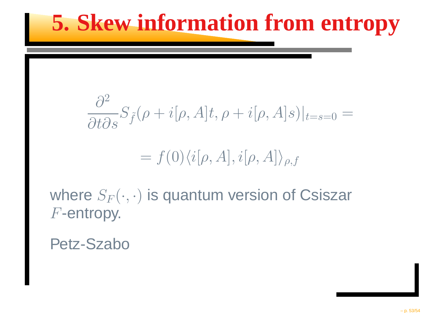### **5. Skew information from entropy**

$$
\frac{\partial^2}{\partial t \partial s} S_{\tilde{f}}(\rho + i[\rho, A]t, \rho + i[\rho, A]s)|_{t=s=0} =
$$
  
=  $f(0)\langle i[\rho, A], i[\rho, A]\rangle_{\rho, f}$ 

where  $S_F(\cdot, \cdot)$  is quantum version of Csiszar  $F\text{-entropy}.$ 

Petz-Szabo